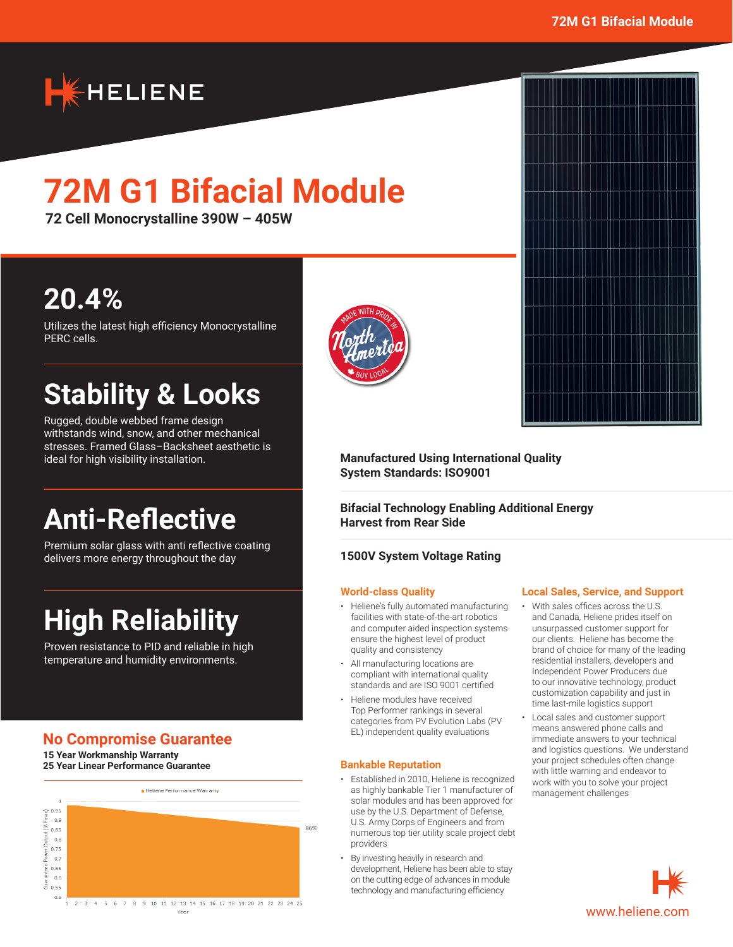

# **72M G1 Bifacial Module**

**72 Cell Monocrystalline 390W – 405W**

### **20.4%**

Utilizes the latest high efficiency Monocrystalline PERC cells.

## **Stability & Looks**

Rugged, double webbed frame design withstands wind, snow, and other mechanical stresses. Framed Glass–Backsheet aesthetic is ideal for high visibility installation.

## **Anti-Reflective**

Premium solar glass with anti reflective coating delivers more energy throughout the day

## **High Reliability**

Proven resistance to PID and reliable in high temperature and humidity environments.

### **No Compromise Guarantee**

**15 Year Workmanship Warranty 25 Year Linear Performance Guarantee**





### **Manufactured Using International Quality System Standards: ISO9001**

**Bifacial Technology Enabling Additional Energy Harvest from Rear Side**

### **1500V System Voltage Rating**

#### **World-class Quality**

- Heliene's fully automated manufacturing facilities with state-of-the-art robotics and computer aided inspection systems ensure the highest level of product quality and consistency
- All manufacturing locations are compliant with international quality standards and are ISO 9001 certified
- Heliene modules have received Top Performer rankings in several categories from PV Evolution Labs (PV EL) independent quality evaluations

#### **Bankable Reputation**

- Established in 2010, Heliene is recognized as highly bankable Tier 1 manufacturer of solar modules and has been approved for use by the U.S. Department of Defense, U.S. Army Corps of Engineers and from numerous top tier utility scale project debt providers
- By investing heavily in research and development, Heliene has been able to stay on the cutting edge of advances in module technology and manufacturing efficiency

### **Local Sales, Service, and Support**

- With sales offices across the U.S. and Canada, Heliene prides itself on unsurpassed customer support for our clients. Heliene has become the brand of choice for many of the leading residential installers, developers and Independent Power Producers due to our innovative technology, product customization capability and just in time last-mile logistics support
- Local sales and customer support means answered phone calls and immediate answers to your technical and logistics questions. We understand your project schedules often change with little warning and endeavor to work with you to solve your project management challenges